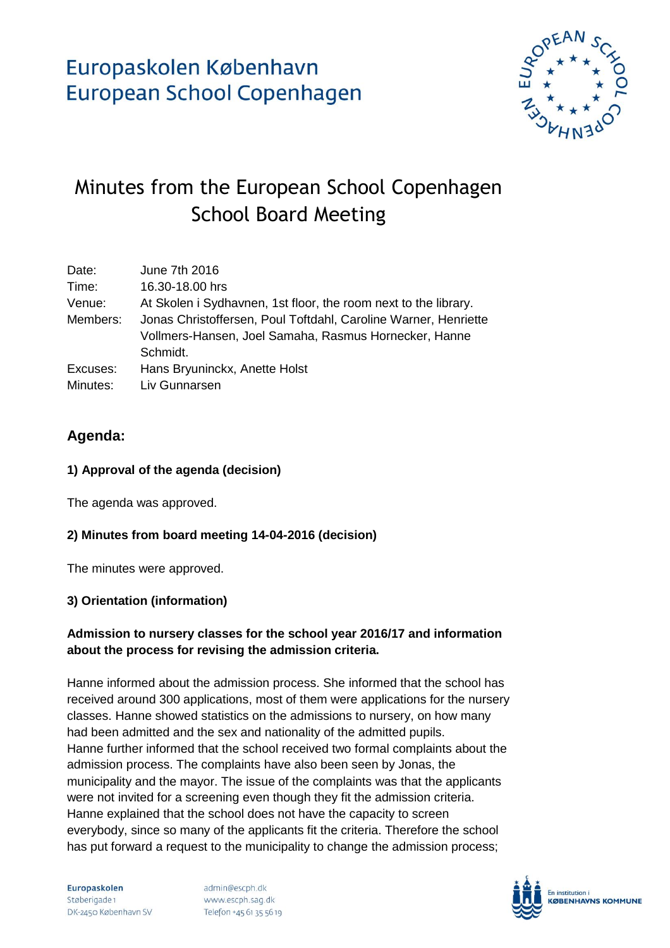

# Minutes from the European School Copenhagen School Board Meeting

| Date:    | June 7th 2016                                                   |
|----------|-----------------------------------------------------------------|
| Time:    | 16.30-18.00 hrs                                                 |
| Venue:   | At Skolen i Sydhavnen, 1st floor, the room next to the library. |
| Members: | Jonas Christoffersen, Poul Toftdahl, Caroline Warner, Henriette |
|          | Vollmers-Hansen, Joel Samaha, Rasmus Hornecker, Hanne           |
|          | Schmidt.                                                        |
| Excuses: | Hans Bryuninckx, Anette Holst                                   |
| Minutes: | Liv Gunnarsen                                                   |

### **Agenda:**

### **1) Approval of the agenda (decision)**

The agenda was approved.

### **2) Minutes from board meeting 14-04-2016 (decision)**

The minutes were approved.

#### **3) Orientation (information)**

### **Admission to nursery classes for the school year 2016/17 and information about the process for revising the admission criteria.**

Hanne informed about the admission process. She informed that the school has received around 300 applications, most of them were applications for the nursery classes. Hanne showed statistics on the admissions to nursery, on how many had been admitted and the sex and nationality of the admitted pupils. Hanne further informed that the school received two formal complaints about the admission process. The complaints have also been seen by Jonas, the municipality and the mayor. The issue of the complaints was that the applicants were not invited for a screening even though they fit the admission criteria. Hanne explained that the school does not have the capacity to screen everybody, since so many of the applicants fit the criteria. Therefore the school has put forward a request to the municipality to change the admission process;

Europaskolen Støberigade 1 DK-2450 København SV

admin@escph.dk www.escph.sag.dk Telefon +45 61 35 56 19

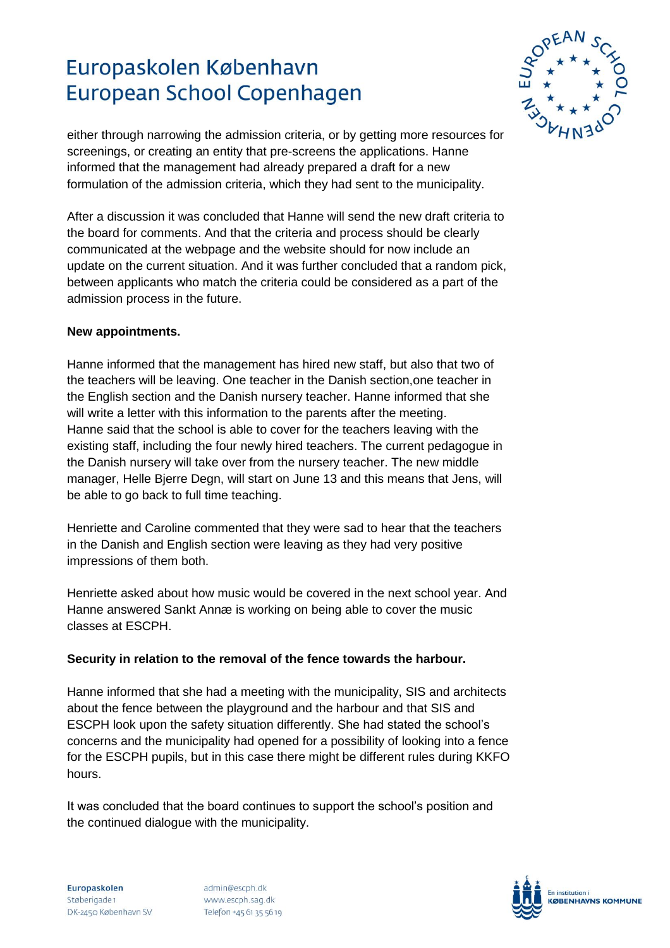

either through narrowing the admission criteria, or by getting more resources for screenings, or creating an entity that pre-screens the applications. Hanne informed that the management had already prepared a draft for a new formulation of the admission criteria, which they had sent to the municipality.

After a discussion it was concluded that Hanne will send the new draft criteria to the board for comments. And that the criteria and process should be clearly communicated at the webpage and the website should for now include an update on the current situation. And it was further concluded that a random pick, between applicants who match the criteria could be considered as a part of the admission process in the future.

#### **New appointments.**

Hanne informed that the management has hired new staff, but also that two of the teachers will be leaving. One teacher in the Danish section,one teacher in the English section and the Danish nursery teacher. Hanne informed that she will write a letter with this information to the parents after the meeting. Hanne said that the school is able to cover for the teachers leaving with the existing staff, including the four newly hired teachers. The current pedagogue in the Danish nursery will take over from the nursery teacher. The new middle manager, Helle Bjerre Degn, will start on June 13 and this means that Jens, will be able to go back to full time teaching.

Henriette and Caroline commented that they were sad to hear that the teachers in the Danish and English section were leaving as they had very positive impressions of them both.

Henriette asked about how music would be covered in the next school year. And Hanne answered Sankt Annæ is working on being able to cover the music classes at ESCPH.

#### **Security in relation to the removal of the fence towards the harbour.**

Hanne informed that she had a meeting with the municipality, SIS and architects about the fence between the playground and the harbour and that SIS and ESCPH look upon the safety situation differently. She had stated the school's concerns and the municipality had opened for a possibility of looking into a fence for the ESCPH pupils, but in this case there might be different rules during KKFO hours.

It was concluded that the board continues to support the school's position and the continued dialogue with the municipality.

admin@escph.dk www.escph.sag.dk Telefon +45 61 35 56 19

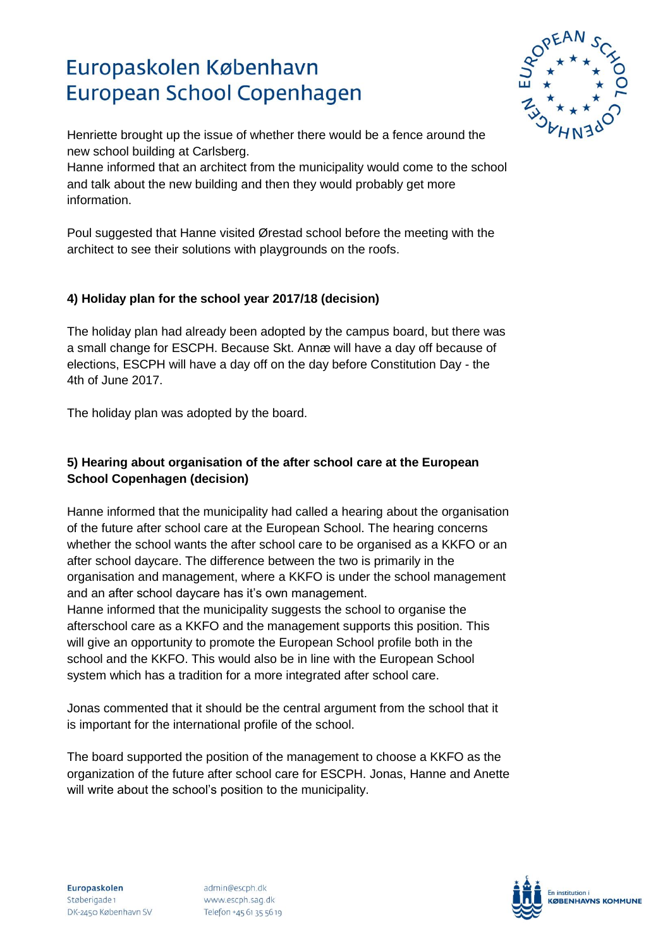

Henriette brought up the issue of whether there would be a fence around the new school building at Carlsberg.

Hanne informed that an architect from the municipality would come to the school and talk about the new building and then they would probably get more information.

Poul suggested that Hanne visited Ørestad school before the meeting with the architect to see their solutions with playgrounds on the roofs.

### **4) Holiday plan for the school year 2017/18 (decision)**

The holiday plan had already been adopted by the campus board, but there was a small change for ESCPH. Because Skt. Annæ will have a day off because of elections, ESCPH will have a day off on the day before Constitution Day - the 4th of June 2017.

The holiday plan was adopted by the board.

### **5) Hearing about organisation of the after school care at the European School Copenhagen (decision)**

Hanne informed that the municipality had called a hearing about the organisation of the future after school care at the European School. The hearing concerns whether the school wants the after school care to be organised as a KKFO or an after school daycare. The difference between the two is primarily in the organisation and management, where a KKFO is under the school management and an after school daycare has it's own management. Hanne informed that the municipality suggests the school to organise the afterschool care as a KKFO and the management supports this position. This will give an opportunity to promote the European School profile both in the

school and the KKFO. This would also be in line with the European School system which has a tradition for a more integrated after school care.

Jonas commented that it should be the central argument from the school that it is important for the international profile of the school.

The board supported the position of the management to choose a KKFO as the organization of the future after school care for ESCPH. Jonas, Hanne and Anette will write about the school's position to the municipality.

admin@escph.dk www.escph.sag.dk Telefon +45 61 35 56 19